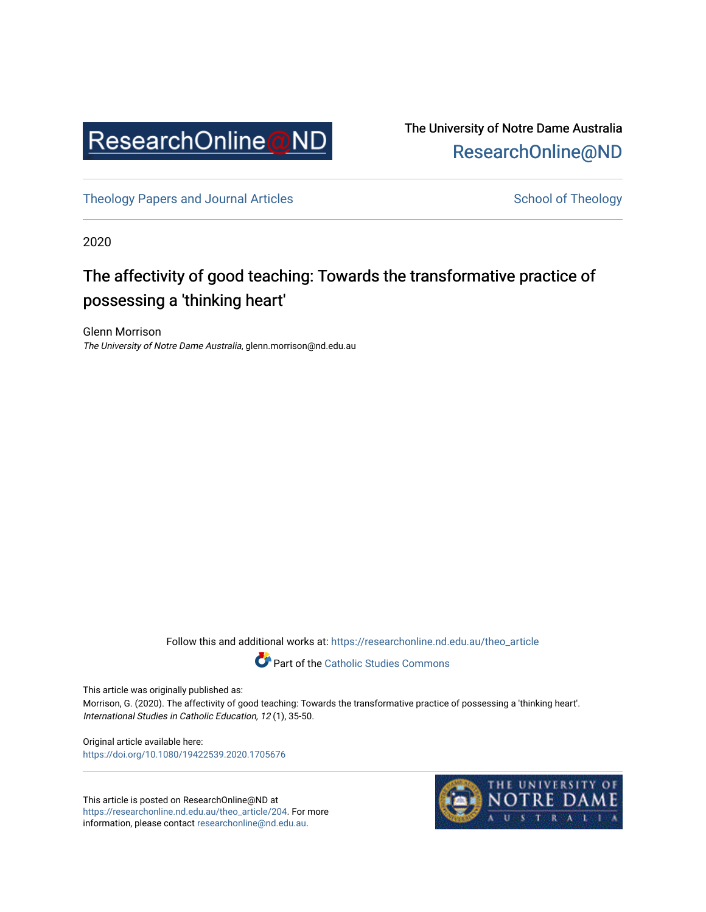

The University of Notre Dame Australia [ResearchOnline@ND](https://researchonline.nd.edu.au/) 

[Theology Papers and Journal Articles](https://researchonline.nd.edu.au/theo_article) and [School of Theology](https://researchonline.nd.edu.au/theo) School of Theology

2020

## The affectivity of good teaching: Towards the transformative practice of possessing a 'thinking heart'

Glenn Morrison The University of Notre Dame Australia, glenn.morrison@nd.edu.au

Follow this and additional works at: [https://researchonline.nd.edu.au/theo\\_article](https://researchonline.nd.edu.au/theo_article?utm_source=researchonline.nd.edu.au%2Ftheo_article%2F204&utm_medium=PDF&utm_campaign=PDFCoverPages) 

**Part of the [Catholic Studies Commons](http://network.bepress.com/hgg/discipline/1294?utm_source=researchonline.nd.edu.au%2Ftheo_article%2F204&utm_medium=PDF&utm_campaign=PDFCoverPages)** 

This article was originally published as:

Morrison, G. (2020). The affectivity of good teaching: Towards the transformative practice of possessing a 'thinking heart'. International Studies in Catholic Education, 12 (1), 35-50.

Original article available here: <https://doi.org/10.1080/19422539.2020.1705676>

This article is posted on ResearchOnline@ND at [https://researchonline.nd.edu.au/theo\\_article/204](https://researchonline.nd.edu.au/theo_article/204). For more information, please contact [researchonline@nd.edu.au.](mailto:researchonline@nd.edu.au)

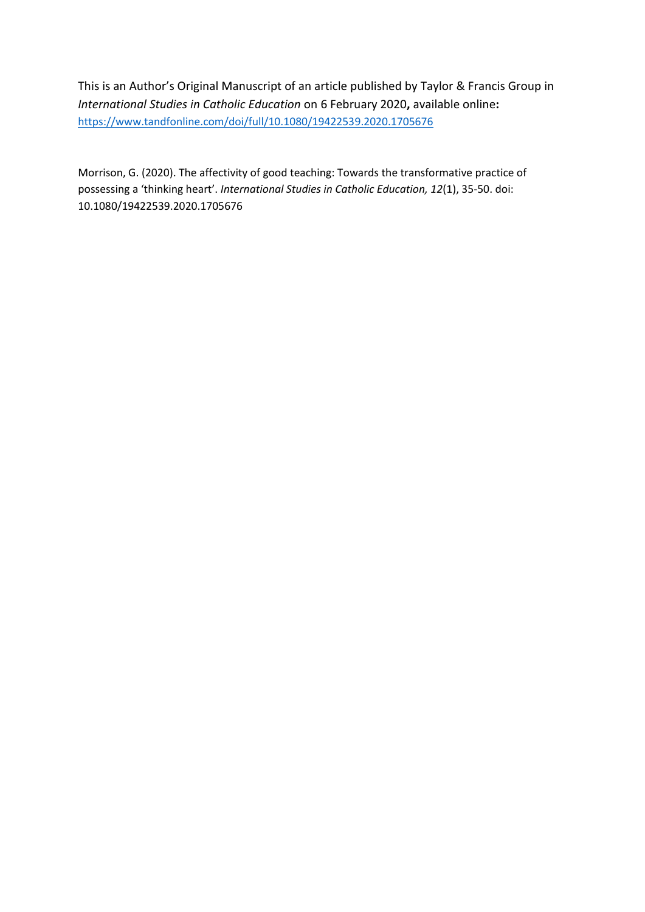This is an Author's Original Manuscript of an article published by Taylor & Francis Group in *International Studies in Catholic Education* on 6 February 2020**,** available online**:**  <https://www.tandfonline.com/doi/full/10.1080/19422539.2020.1705676>

Morrison, G. (2020). The affectivity of good teaching: Towards the transformative practice of possessing a 'thinking heart'. *International Studies in Catholic Education, 12*(1), 35-50. doi: 10.1080/19422539.2020.1705676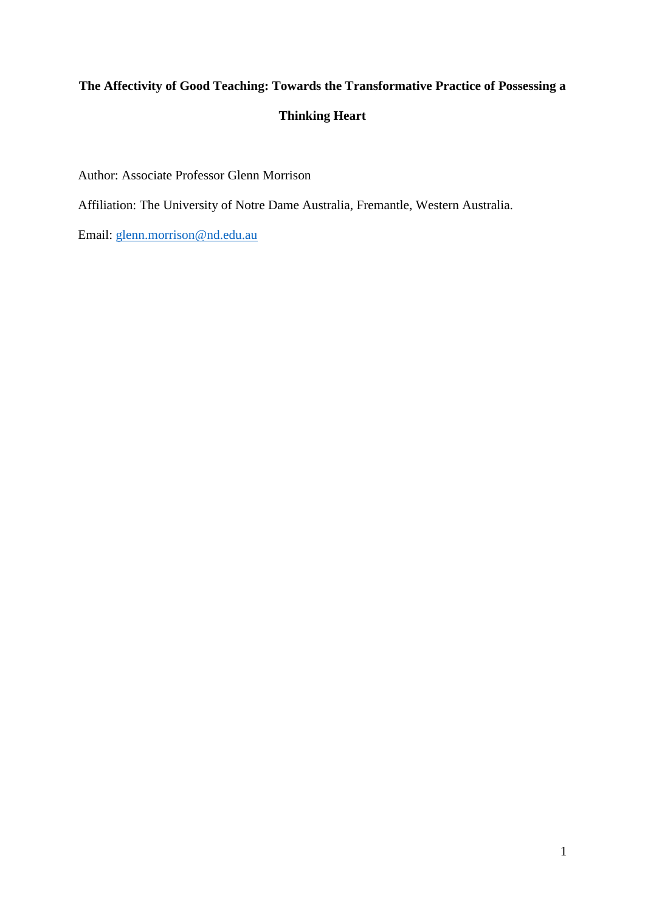# **The Affectivity of Good Teaching: Towards the Transformative Practice of Possessing a Thinking Heart**

Author: Associate Professor Glenn Morrison

Affiliation: The University of Notre Dame Australia, Fremantle, Western Australia.

Email: [glenn.morrison@nd.edu.au](mailto:glenn.morrison@nd.edu.au)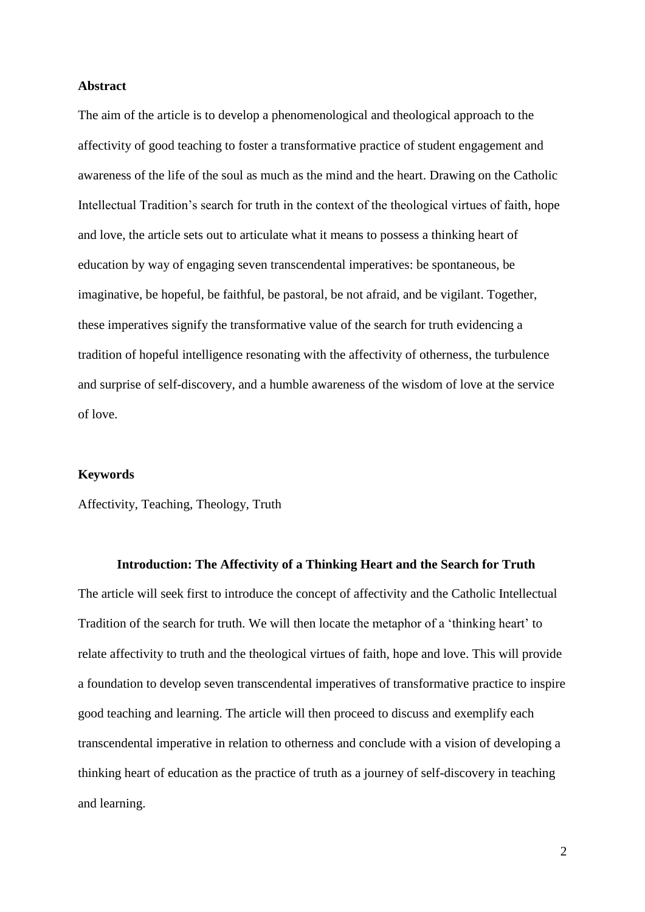#### **Abstract**

The aim of the article is to develop a phenomenological and theological approach to the affectivity of good teaching to foster a transformative practice of student engagement and awareness of the life of the soul as much as the mind and the heart. Drawing on the Catholic Intellectual Tradition's search for truth in the context of the theological virtues of faith, hope and love, the article sets out to articulate what it means to possess a thinking heart of education by way of engaging seven transcendental imperatives: be spontaneous, be imaginative, be hopeful, be faithful, be pastoral, be not afraid, and be vigilant. Together, these imperatives signify the transformative value of the search for truth evidencing a tradition of hopeful intelligence resonating with the affectivity of otherness, the turbulence and surprise of self-discovery, and a humble awareness of the wisdom of love at the service of love.

#### **Keywords**

Affectivity, Teaching, Theology, Truth

## **Introduction: The Affectivity of a Thinking Heart and the Search for Truth**

The article will seek first to introduce the concept of affectivity and the Catholic Intellectual Tradition of the search for truth. We will then locate the metaphor of a 'thinking heart' to relate affectivity to truth and the theological virtues of faith, hope and love. This will provide a foundation to develop seven transcendental imperatives of transformative practice to inspire good teaching and learning. The article will then proceed to discuss and exemplify each transcendental imperative in relation to otherness and conclude with a vision of developing a thinking heart of education as the practice of truth as a journey of self-discovery in teaching and learning.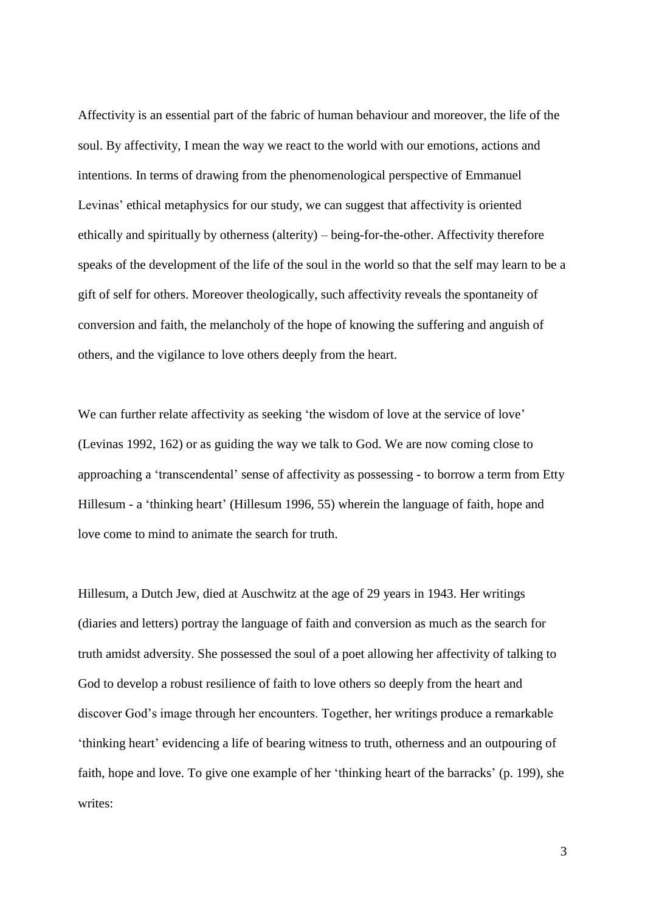Affectivity is an essential part of the fabric of human behaviour and moreover, the life of the soul. By affectivity, I mean the way we react to the world with our emotions, actions and intentions. In terms of drawing from the phenomenological perspective of Emmanuel Levinas' ethical metaphysics for our study, we can suggest that affectivity is oriented ethically and spiritually by otherness (alterity) – being-for-the-other. Affectivity therefore speaks of the development of the life of the soul in the world so that the self may learn to be a gift of self for others. Moreover theologically, such affectivity reveals the spontaneity of conversion and faith, the melancholy of the hope of knowing the suffering and anguish of others, and the vigilance to love others deeply from the heart.

We can further relate affectivity as seeking 'the wisdom of love at the service of love' (Levinas 1992, 162) or as guiding the way we talk to God. We are now coming close to approaching a 'transcendental' sense of affectivity as possessing - to borrow a term from Etty Hillesum - a 'thinking heart' (Hillesum 1996, 55) wherein the language of faith, hope and love come to mind to animate the search for truth.

Hillesum, a Dutch Jew, died at Auschwitz at the age of 29 years in 1943. Her writings (diaries and letters) portray the language of faith and conversion as much as the search for truth amidst adversity. She possessed the soul of a poet allowing her affectivity of talking to God to develop a robust resilience of faith to love others so deeply from the heart and discover God's image through her encounters. Together, her writings produce a remarkable 'thinking heart' evidencing a life of bearing witness to truth, otherness and an outpouring of faith, hope and love. To give one example of her 'thinking heart of the barracks' (p. 199), she writes: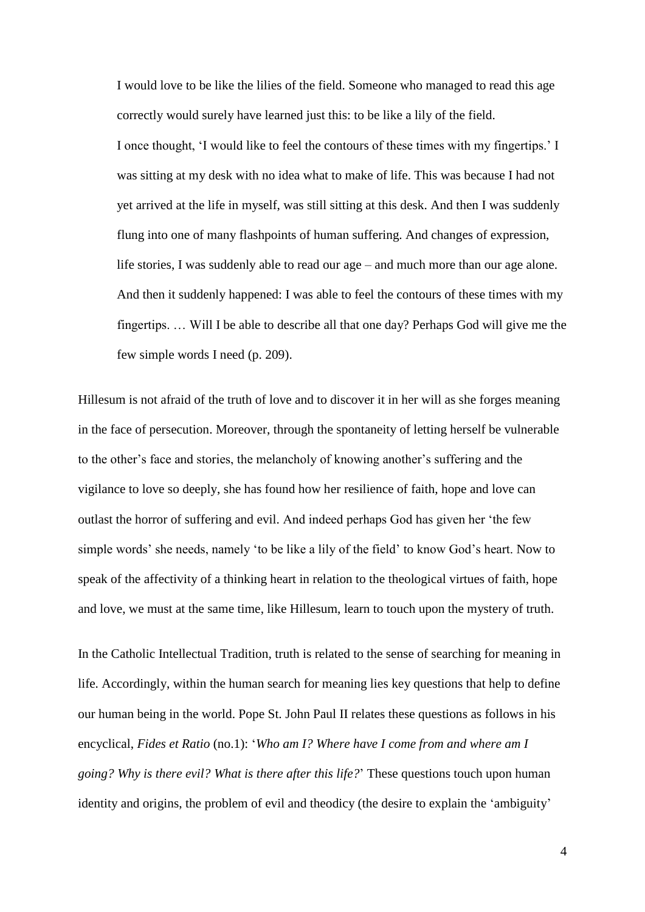I would love to be like the lilies of the field. Someone who managed to read this age correctly would surely have learned just this: to be like a lily of the field. I once thought, 'I would like to feel the contours of these times with my fingertips.' I was sitting at my desk with no idea what to make of life. This was because I had not yet arrived at the life in myself, was still sitting at this desk. And then I was suddenly flung into one of many flashpoints of human suffering. And changes of expression, life stories, I was suddenly able to read our age – and much more than our age alone. And then it suddenly happened: I was able to feel the contours of these times with my fingertips. … Will I be able to describe all that one day? Perhaps God will give me the few simple words I need (p. 209).

Hillesum is not afraid of the truth of love and to discover it in her will as she forges meaning in the face of persecution. Moreover, through the spontaneity of letting herself be vulnerable to the other's face and stories, the melancholy of knowing another's suffering and the vigilance to love so deeply, she has found how her resilience of faith, hope and love can outlast the horror of suffering and evil. And indeed perhaps God has given her 'the few simple words' she needs, namely 'to be like a lily of the field' to know God's heart. Now to speak of the affectivity of a thinking heart in relation to the theological virtues of faith, hope and love, we must at the same time, like Hillesum, learn to touch upon the mystery of truth.

In the Catholic Intellectual Tradition, truth is related to the sense of searching for meaning in life. Accordingly, within the human search for meaning lies key questions that help to define our human being in the world. Pope St. John Paul II relates these questions as follows in his encyclical, *Fides et Ratio* (no.1): '*Who am I? Where have I come from and where am I going? Why is there evil? What is there after this life?*' These questions touch upon human identity and origins, the problem of evil and theodicy (the desire to explain the 'ambiguity'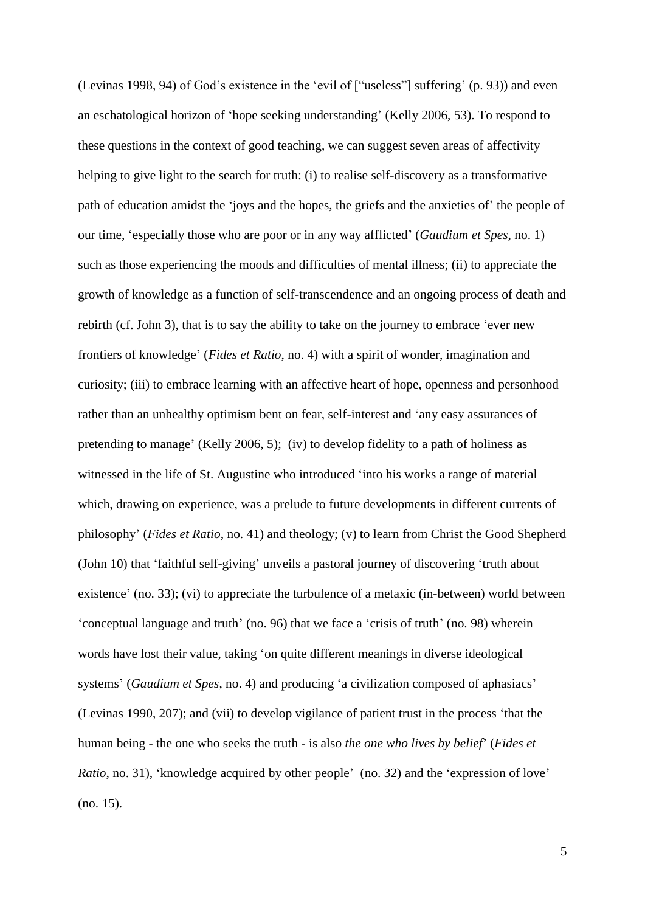(Levinas 1998, 94) of God's existence in the 'evil of ["useless"] suffering' (p. 93)) and even an eschatological horizon of 'hope seeking understanding' (Kelly 2006, 53). To respond to these questions in the context of good teaching, we can suggest seven areas of affectivity helping to give light to the search for truth: (i) to realise self-discovery as a transformative path of education amidst the 'joys and the hopes, the griefs and the anxieties of' the people of our time, 'especially those who are poor or in any way afflicted' (*Gaudium et Spes*, no. 1) such as those experiencing the moods and difficulties of mental illness; (ii) to appreciate the growth of knowledge as a function of self-transcendence and an ongoing process of death and rebirth (cf. John 3), that is to say the ability to take on the journey to embrace 'ever new frontiers of knowledge' (*Fides et Ratio*, no. 4) with a spirit of wonder, imagination and curiosity; (iii) to embrace learning with an affective heart of hope, openness and personhood rather than an unhealthy optimism bent on fear, self-interest and 'any easy assurances of pretending to manage' (Kelly 2006, 5); (iv) to develop fidelity to a path of holiness as witnessed in the life of St. Augustine who introduced 'into his works a range of material which, drawing on experience, was a prelude to future developments in different currents of philosophy' (*Fides et Ratio*, no. 41) and theology; (v) to learn from Christ the Good Shepherd (John 10) that 'faithful self-giving' unveils a pastoral journey of discovering 'truth about existence' (no. 33); (vi) to appreciate the turbulence of a metaxic (in-between) world between 'conceptual language and truth' (no. 96) that we face a 'crisis of truth' (no. 98) wherein words have lost their value, taking 'on quite different meanings in diverse ideological systems' (*Gaudium et Spes*, no. 4) and producing 'a civilization composed of aphasiacs' (Levinas 1990, 207); and (vii) to develop vigilance of patient trust in the process 'that the human being - the one who seeks the truth - is also *the one who lives by belief*' (*Fides et Ratio*, no. 31), 'knowledge acquired by other people' (no. 32) and the 'expression of love' (no. 15).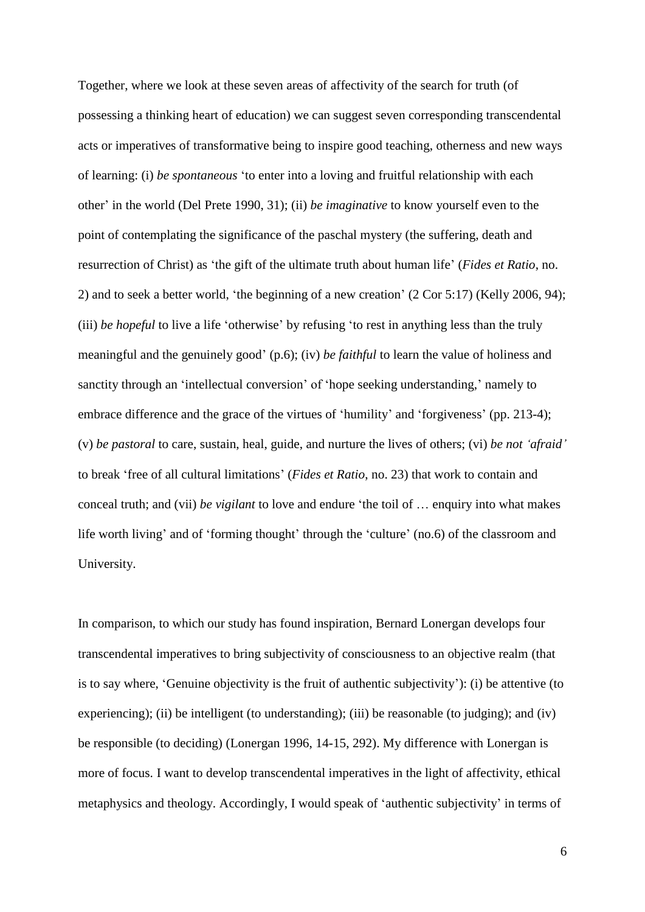Together, where we look at these seven areas of affectivity of the search for truth (of possessing a thinking heart of education) we can suggest seven corresponding transcendental acts or imperatives of transformative being to inspire good teaching, otherness and new ways of learning: (i) *be spontaneous* 'to enter into a loving and fruitful relationship with each other' in the world (Del Prete 1990, 31); (ii) *be imaginative* to know yourself even to the point of contemplating the significance of the paschal mystery (the suffering, death and resurrection of Christ) as 'the gift of the ultimate truth about human life' (*Fides et Ratio*, no. 2) and to seek a better world, 'the beginning of a new creation' (2 Cor 5:17) (Kelly 2006, 94); (iii) *be hopeful* to live a life 'otherwise' by refusing 'to rest in anything less than the truly meaningful and the genuinely good' (p.6); (iv) *be faithful* to learn the value of holiness and sanctity through an 'intellectual conversion' of 'hope seeking understanding,' namely to embrace difference and the grace of the virtues of 'humility' and 'forgiveness' (pp. 213-4); (v) *be pastoral* to care, sustain, heal, guide, and nurture the lives of others; (vi) *be not 'afraid'* to break 'free of all cultural limitations' (*Fides et Ratio*, no. 23) that work to contain and conceal truth; and (vii) *be vigilant* to love and endure 'the toil of … enquiry into what makes life worth living' and of 'forming thought' through the 'culture' (no.6) of the classroom and University.

In comparison, to which our study has found inspiration, Bernard Lonergan develops four transcendental imperatives to bring subjectivity of consciousness to an objective realm (that is to say where, 'Genuine objectivity is the fruit of authentic subjectivity'): (i) be attentive (to experiencing); (ii) be intelligent (to understanding); (iii) be reasonable (to judging); and (iv) be responsible (to deciding) (Lonergan 1996, 14-15, 292). My difference with Lonergan is more of focus. I want to develop transcendental imperatives in the light of affectivity, ethical metaphysics and theology. Accordingly, I would speak of 'authentic subjectivity' in terms of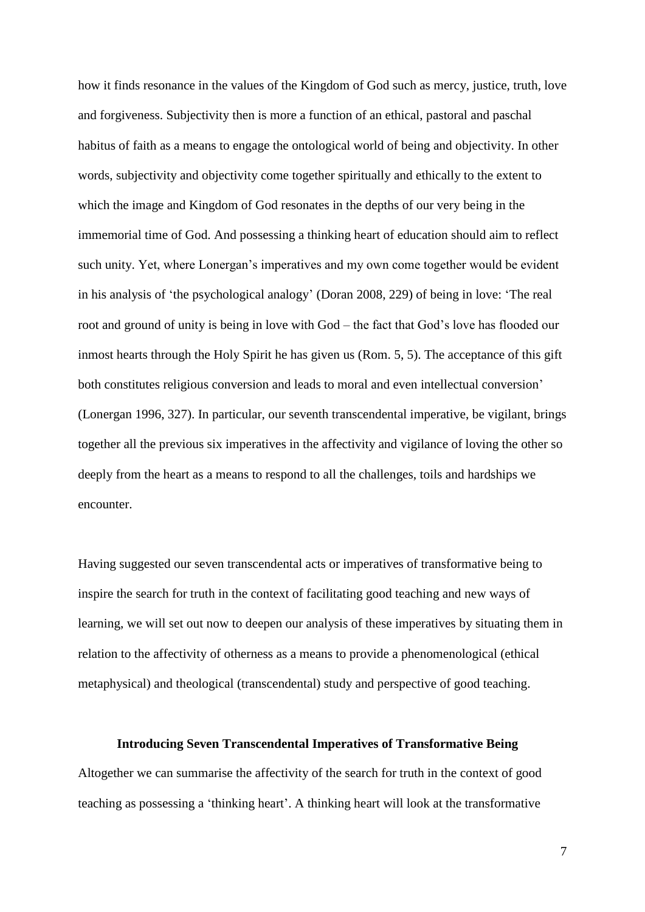how it finds resonance in the values of the Kingdom of God such as mercy, justice, truth, love and forgiveness. Subjectivity then is more a function of an ethical, pastoral and paschal habitus of faith as a means to engage the ontological world of being and objectivity. In other words, subjectivity and objectivity come together spiritually and ethically to the extent to which the image and Kingdom of God resonates in the depths of our very being in the immemorial time of God. And possessing a thinking heart of education should aim to reflect such unity. Yet, where Lonergan's imperatives and my own come together would be evident in his analysis of 'the psychological analogy' (Doran 2008, 229) of being in love: 'The real root and ground of unity is being in love with God – the fact that God's love has flooded our inmost hearts through the Holy Spirit he has given us (Rom. 5, 5). The acceptance of this gift both constitutes religious conversion and leads to moral and even intellectual conversion' (Lonergan 1996, 327). In particular, our seventh transcendental imperative, be vigilant, brings together all the previous six imperatives in the affectivity and vigilance of loving the other so deeply from the heart as a means to respond to all the challenges, toils and hardships we encounter.

Having suggested our seven transcendental acts or imperatives of transformative being to inspire the search for truth in the context of facilitating good teaching and new ways of learning, we will set out now to deepen our analysis of these imperatives by situating them in relation to the affectivity of otherness as a means to provide a phenomenological (ethical metaphysical) and theological (transcendental) study and perspective of good teaching.

## **Introducing Seven Transcendental Imperatives of Transformative Being**

Altogether we can summarise the affectivity of the search for truth in the context of good teaching as possessing a 'thinking heart'. A thinking heart will look at the transformative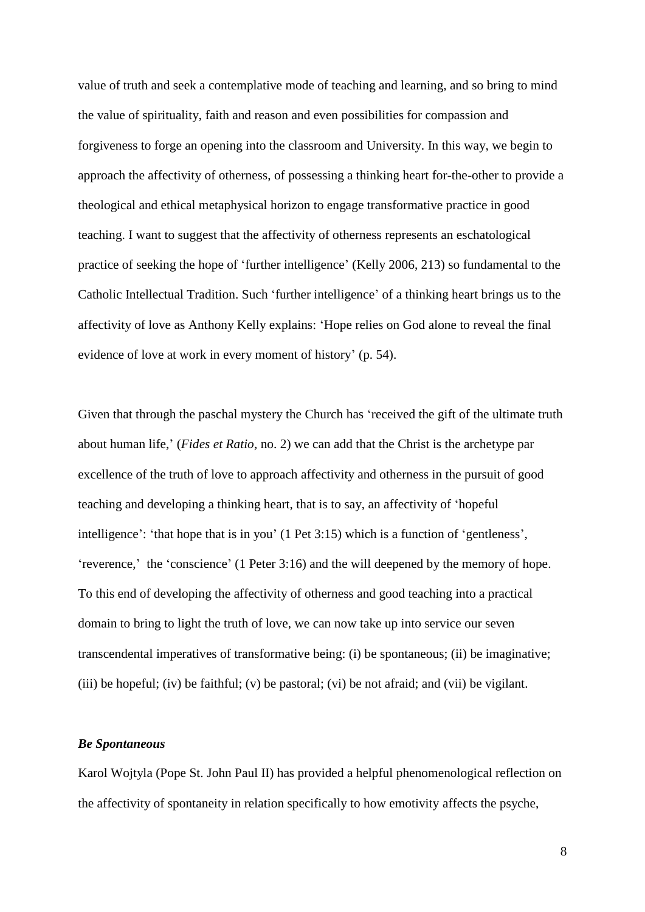value of truth and seek a contemplative mode of teaching and learning, and so bring to mind the value of spirituality, faith and reason and even possibilities for compassion and forgiveness to forge an opening into the classroom and University. In this way, we begin to approach the affectivity of otherness, of possessing a thinking heart for-the-other to provide a theological and ethical metaphysical horizon to engage transformative practice in good teaching. I want to suggest that the affectivity of otherness represents an eschatological practice of seeking the hope of 'further intelligence' (Kelly 2006, 213) so fundamental to the Catholic Intellectual Tradition. Such 'further intelligence' of a thinking heart brings us to the affectivity of love as Anthony Kelly explains: 'Hope relies on God alone to reveal the final evidence of love at work in every moment of history' (p. 54).

Given that through the paschal mystery the Church has 'received the gift of the ultimate truth about human life,' (*Fides et Ratio*, no. 2) we can add that the Christ is the archetype par excellence of the truth of love to approach affectivity and otherness in the pursuit of good teaching and developing a thinking heart, that is to say, an affectivity of 'hopeful intelligence': 'that hope that is in you' (1 Pet 3:15) which is a function of 'gentleness', 'reverence,' the 'conscience' (1 Peter 3:16) and the will deepened by the memory of hope. To this end of developing the affectivity of otherness and good teaching into a practical domain to bring to light the truth of love, we can now take up into service our seven transcendental imperatives of transformative being: (i) be spontaneous; (ii) be imaginative; (iii) be hopeful; (iv) be faithful; (v) be pastoral; (vi) be not afraid; and (vii) be vigilant.

## *Be Spontaneous*

Karol Wojtyla (Pope St. John Paul II) has provided a helpful phenomenological reflection on the affectivity of spontaneity in relation specifically to how emotivity affects the psyche,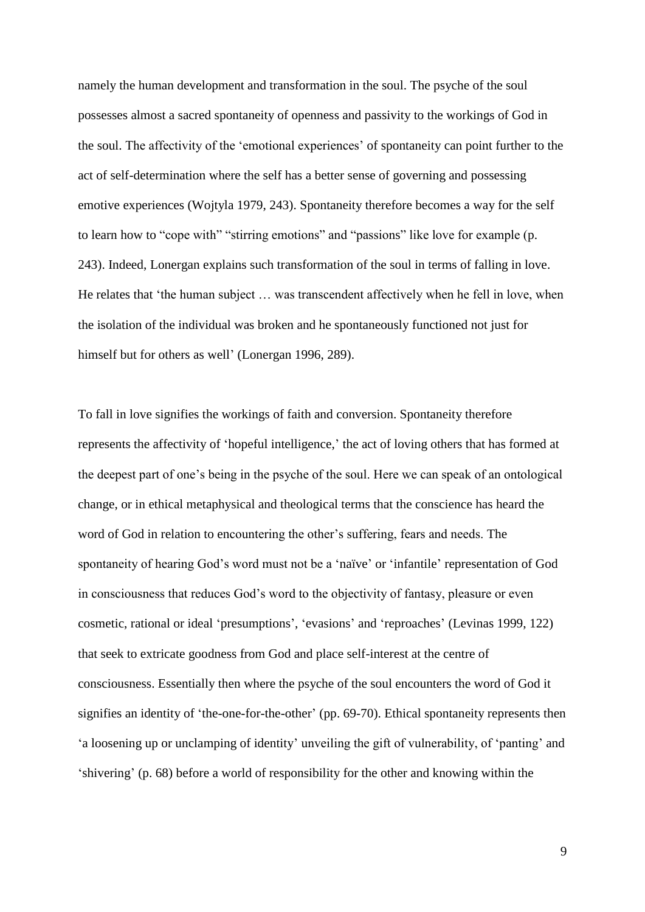namely the human development and transformation in the soul. The psyche of the soul possesses almost a sacred spontaneity of openness and passivity to the workings of God in the soul. The affectivity of the 'emotional experiences' of spontaneity can point further to the act of self-determination where the self has a better sense of governing and possessing emotive experiences (Wojtyla 1979, 243). Spontaneity therefore becomes a way for the self to learn how to "cope with" "stirring emotions" and "passions" like love for example (p. 243). Indeed, Lonergan explains such transformation of the soul in terms of falling in love. He relates that 'the human subject … was transcendent affectively when he fell in love, when the isolation of the individual was broken and he spontaneously functioned not just for himself but for others as well' (Lonergan 1996, 289).

To fall in love signifies the workings of faith and conversion. Spontaneity therefore represents the affectivity of 'hopeful intelligence,' the act of loving others that has formed at the deepest part of one's being in the psyche of the soul. Here we can speak of an ontological change, or in ethical metaphysical and theological terms that the conscience has heard the word of God in relation to encountering the other's suffering, fears and needs. The spontaneity of hearing God's word must not be a 'naïve' or 'infantile' representation of God in consciousness that reduces God's word to the objectivity of fantasy, pleasure or even cosmetic, rational or ideal 'presumptions', 'evasions' and 'reproaches' (Levinas 1999, 122) that seek to extricate goodness from God and place self-interest at the centre of consciousness. Essentially then where the psyche of the soul encounters the word of God it signifies an identity of 'the-one-for-the-other' (pp. 69-70). Ethical spontaneity represents then 'a loosening up or unclamping of identity' unveiling the gift of vulnerability, of 'panting' and 'shivering' (p. 68) before a world of responsibility for the other and knowing within the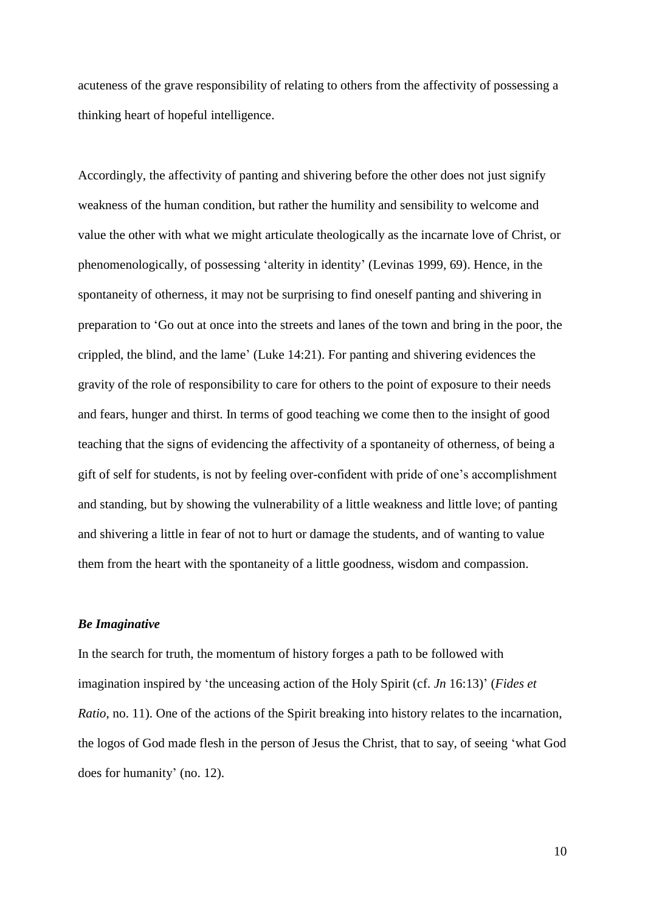acuteness of the grave responsibility of relating to others from the affectivity of possessing a thinking heart of hopeful intelligence.

Accordingly, the affectivity of panting and shivering before the other does not just signify weakness of the human condition, but rather the humility and sensibility to welcome and value the other with what we might articulate theologically as the incarnate love of Christ, or phenomenologically, of possessing 'alterity in identity' (Levinas 1999, 69). Hence, in the spontaneity of otherness, it may not be surprising to find oneself panting and shivering in preparation to 'Go out at once into the streets and lanes of the town and bring in the poor, the crippled, the blind, and the lame' (Luke 14:21). For panting and shivering evidences the gravity of the role of responsibility to care for others to the point of exposure to their needs and fears, hunger and thirst. In terms of good teaching we come then to the insight of good teaching that the signs of evidencing the affectivity of a spontaneity of otherness, of being a gift of self for students, is not by feeling over-confident with pride of one's accomplishment and standing, but by showing the vulnerability of a little weakness and little love; of panting and shivering a little in fear of not to hurt or damage the students, and of wanting to value them from the heart with the spontaneity of a little goodness, wisdom and compassion.

#### *Be Imaginative*

In the search for truth, the momentum of history forges a path to be followed with imagination inspired by 'the unceasing action of the Holy Spirit (cf. *Jn* 16:13)' (*Fides et Ratio*, no. 11). One of the actions of the Spirit breaking into history relates to the incarnation, the logos of God made flesh in the person of Jesus the Christ, that to say, of seeing 'what God does for humanity' (no. 12).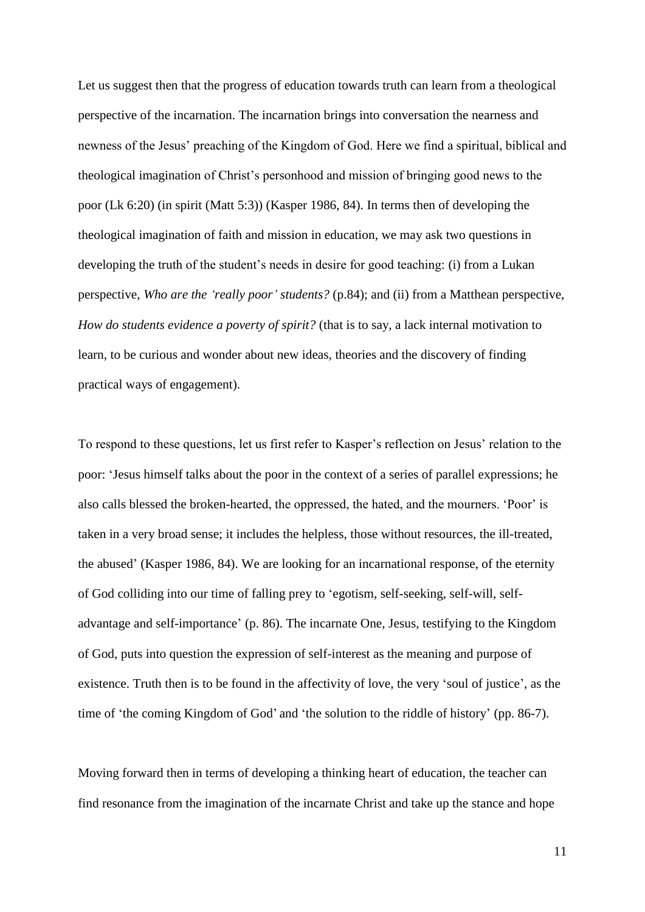Let us suggest then that the progress of education towards truth can learn from a theological perspective of the incarnation. The incarnation brings into conversation the nearness and newness of the Jesus' preaching of the Kingdom of God. Here we find a spiritual, biblical and theological imagination of Christ's personhood and mission of bringing good news to the poor (Lk 6:20) (in spirit (Matt 5:3)) (Kasper 1986, 84). In terms then of developing the theological imagination of faith and mission in education, we may ask two questions in developing the truth of the student's needs in desire for good teaching: (i) from a Lukan perspective, *Who are the 'really poor' students?* (p.84); and (ii) from a Matthean perspective, *How do students evidence a poverty of spirit?* (that is to say, a lack internal motivation to learn, to be curious and wonder about new ideas, theories and the discovery of finding practical ways of engagement).

To respond to these questions, let us first refer to Kasper's reflection on Jesus' relation to the poor: 'Jesus himself talks about the poor in the context of a series of parallel expressions; he also calls blessed the broken-hearted, the oppressed, the hated, and the mourners. 'Poor' is taken in a very broad sense; it includes the helpless, those without resources, the ill-treated, the abused' (Kasper 1986, 84). We are looking for an incarnational response, of the eternity of God colliding into our time of falling prey to 'egotism, self-seeking, self-will, selfadvantage and self-importance' (p. 86). The incarnate One, Jesus, testifying to the Kingdom of God, puts into question the expression of self-interest as the meaning and purpose of existence. Truth then is to be found in the affectivity of love, the very 'soul of justice', as the time of 'the coming Kingdom of God' and 'the solution to the riddle of history' (pp. 86-7).

Moving forward then in terms of developing a thinking heart of education, the teacher can find resonance from the imagination of the incarnate Christ and take up the stance and hope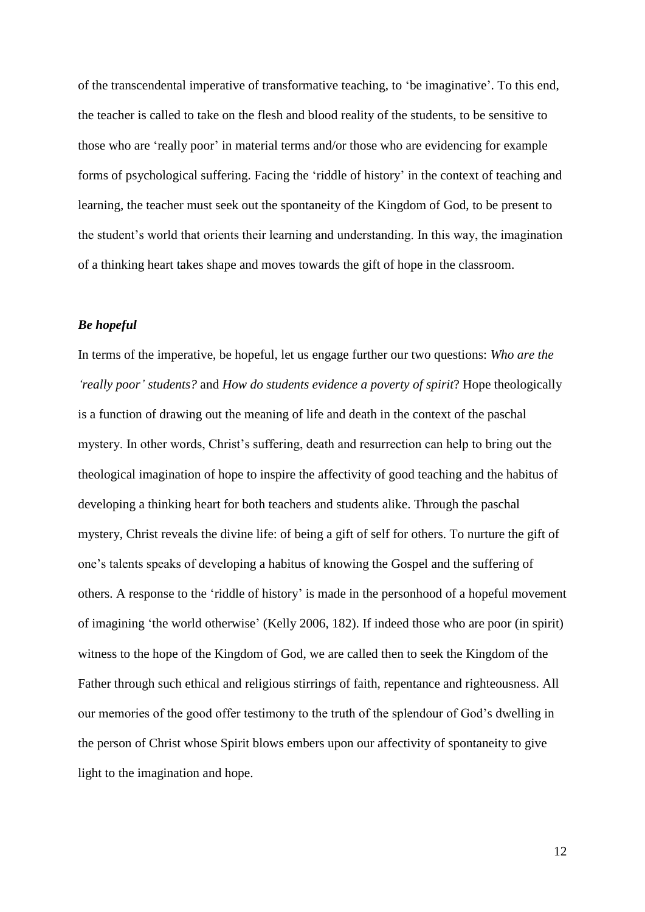of the transcendental imperative of transformative teaching, to 'be imaginative'. To this end, the teacher is called to take on the flesh and blood reality of the students, to be sensitive to those who are 'really poor' in material terms and/or those who are evidencing for example forms of psychological suffering. Facing the 'riddle of history' in the context of teaching and learning, the teacher must seek out the spontaneity of the Kingdom of God, to be present to the student's world that orients their learning and understanding. In this way, the imagination of a thinking heart takes shape and moves towards the gift of hope in the classroom.

## *Be hopeful*

In terms of the imperative, be hopeful, let us engage further our two questions: *Who are the 'really poor' students?* and *How do students evidence a poverty of spirit*? Hope theologically is a function of drawing out the meaning of life and death in the context of the paschal mystery. In other words, Christ's suffering, death and resurrection can help to bring out the theological imagination of hope to inspire the affectivity of good teaching and the habitus of developing a thinking heart for both teachers and students alike. Through the paschal mystery, Christ reveals the divine life: of being a gift of self for others. To nurture the gift of one's talents speaks of developing a habitus of knowing the Gospel and the suffering of others. A response to the 'riddle of history' is made in the personhood of a hopeful movement of imagining 'the world otherwise' (Kelly 2006, 182). If indeed those who are poor (in spirit) witness to the hope of the Kingdom of God, we are called then to seek the Kingdom of the Father through such ethical and religious stirrings of faith, repentance and righteousness. All our memories of the good offer testimony to the truth of the splendour of God's dwelling in the person of Christ whose Spirit blows embers upon our affectivity of spontaneity to give light to the imagination and hope.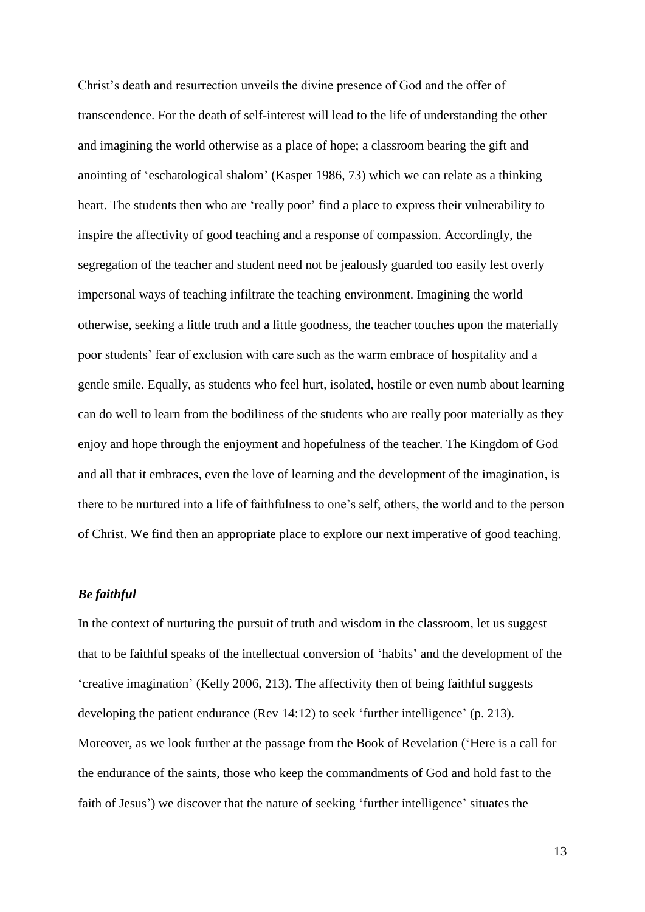Christ's death and resurrection unveils the divine presence of God and the offer of transcendence. For the death of self-interest will lead to the life of understanding the other and imagining the world otherwise as a place of hope; a classroom bearing the gift and anointing of 'eschatological shalom' (Kasper 1986, 73) which we can relate as a thinking heart. The students then who are 'really poor' find a place to express their vulnerability to inspire the affectivity of good teaching and a response of compassion. Accordingly, the segregation of the teacher and student need not be jealously guarded too easily lest overly impersonal ways of teaching infiltrate the teaching environment. Imagining the world otherwise, seeking a little truth and a little goodness, the teacher touches upon the materially poor students' fear of exclusion with care such as the warm embrace of hospitality and a gentle smile. Equally, as students who feel hurt, isolated, hostile or even numb about learning can do well to learn from the bodiliness of the students who are really poor materially as they enjoy and hope through the enjoyment and hopefulness of the teacher. The Kingdom of God and all that it embraces, even the love of learning and the development of the imagination, is there to be nurtured into a life of faithfulness to one's self, others, the world and to the person of Christ. We find then an appropriate place to explore our next imperative of good teaching.

## *Be faithful*

In the context of nurturing the pursuit of truth and wisdom in the classroom, let us suggest that to be faithful speaks of the intellectual conversion of 'habits' and the development of the 'creative imagination' (Kelly 2006, 213). The affectivity then of being faithful suggests developing the patient endurance (Rev 14:12) to seek 'further intelligence' (p. 213). Moreover, as we look further at the passage from the Book of Revelation ('Here is a call for the endurance of the saints, those who keep the commandments of God and hold fast to the faith of Jesus') we discover that the nature of seeking 'further intelligence' situates the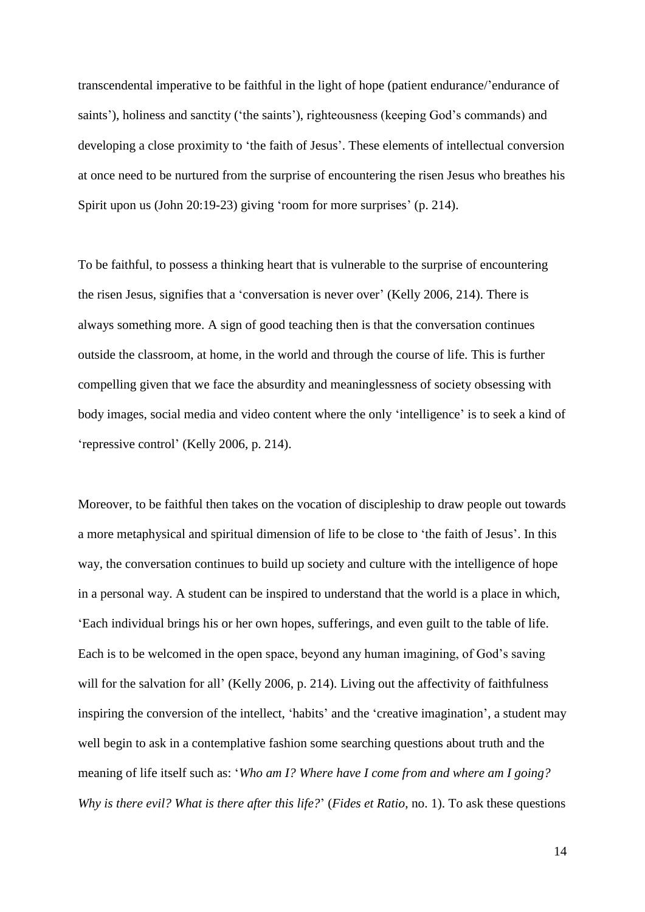transcendental imperative to be faithful in the light of hope (patient endurance/'endurance of saints'), holiness and sanctity ('the saints'), righteousness (keeping God's commands) and developing a close proximity to 'the faith of Jesus'. These elements of intellectual conversion at once need to be nurtured from the surprise of encountering the risen Jesus who breathes his Spirit upon us (John 20:19-23) giving 'room for more surprises' (p. 214).

To be faithful, to possess a thinking heart that is vulnerable to the surprise of encountering the risen Jesus, signifies that a 'conversation is never over' (Kelly 2006, 214). There is always something more. A sign of good teaching then is that the conversation continues outside the classroom, at home, in the world and through the course of life. This is further compelling given that we face the absurdity and meaninglessness of society obsessing with body images, social media and video content where the only 'intelligence' is to seek a kind of 'repressive control' (Kelly 2006, p. 214).

Moreover, to be faithful then takes on the vocation of discipleship to draw people out towards a more metaphysical and spiritual dimension of life to be close to 'the faith of Jesus'. In this way, the conversation continues to build up society and culture with the intelligence of hope in a personal way. A student can be inspired to understand that the world is a place in which, 'Each individual brings his or her own hopes, sufferings, and even guilt to the table of life. Each is to be welcomed in the open space, beyond any human imagining, of God's saving will for the salvation for all' (Kelly 2006, p. 214). Living out the affectivity of faithfulness inspiring the conversion of the intellect, 'habits' and the 'creative imagination', a student may well begin to ask in a contemplative fashion some searching questions about truth and the meaning of life itself such as: '*Who am I? Where have I come from and where am I going? Why is there evil? What is there after this life?*' (*Fides et Ratio*, no. 1). To ask these questions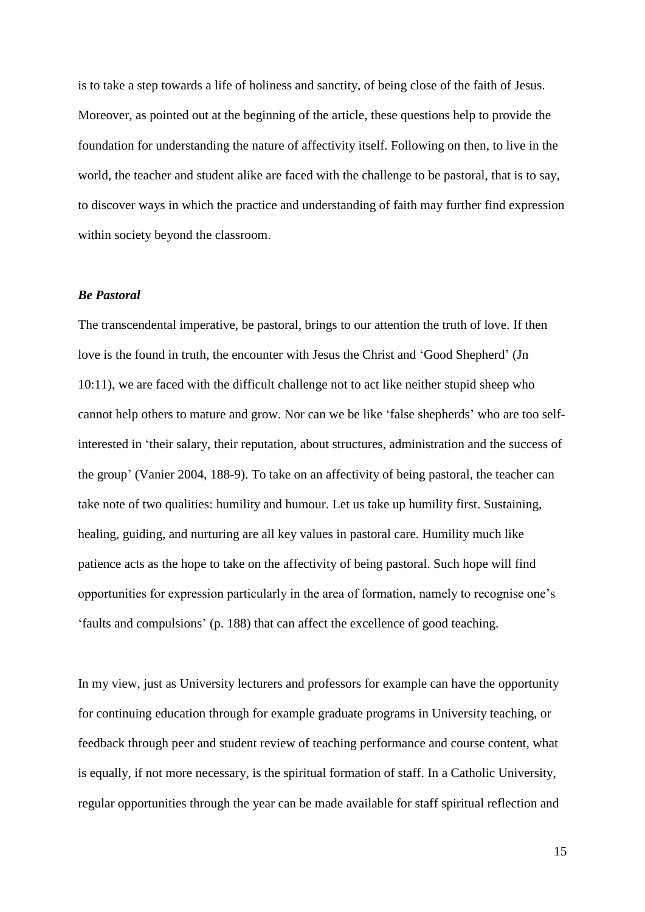is to take a step towards a life of holiness and sanctity, of being close of the faith of Jesus. Moreover, as pointed out at the beginning of the article, these questions help to provide the foundation for understanding the nature of affectivity itself. Following on then, to live in the world, the teacher and student alike are faced with the challenge to be pastoral, that is to say, to discover ways in which the practice and understanding of faith may further find expression within society beyond the classroom.

#### *Be Pastoral*

The transcendental imperative, be pastoral, brings to our attention the truth of love. If then love is the found in truth, the encounter with Jesus the Christ and 'Good Shepherd' (Jn 10:11), we are faced with the difficult challenge not to act like neither stupid sheep who cannot help others to mature and grow. Nor can we be like 'false shepherds' who are too selfinterested in 'their salary, their reputation, about structures, administration and the success of the group' (Vanier 2004, 188-9). To take on an affectivity of being pastoral, the teacher can take note of two qualities: humility and humour. Let us take up humility first. Sustaining, healing, guiding, and nurturing are all key values in pastoral care. Humility much like patience acts as the hope to take on the affectivity of being pastoral. Such hope will find opportunities for expression particularly in the area of formation, namely to recognise one's 'faults and compulsions' (p. 188) that can affect the excellence of good teaching.

In my view, just as University lecturers and professors for example can have the opportunity for continuing education through for example graduate programs in University teaching, or feedback through peer and student review of teaching performance and course content, what is equally, if not more necessary, is the spiritual formation of staff. In a Catholic University, regular opportunities through the year can be made available for staff spiritual reflection and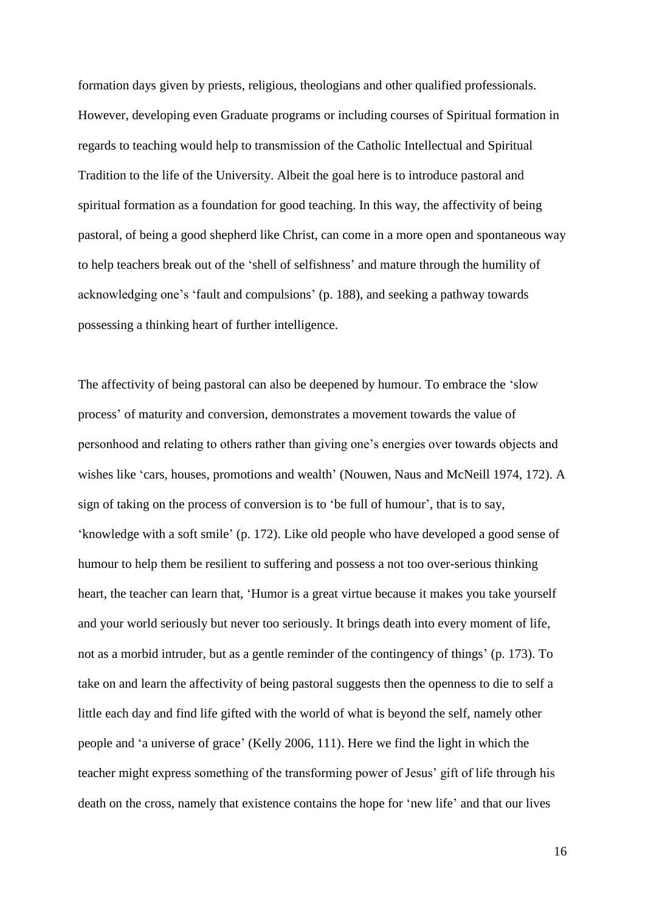formation days given by priests, religious, theologians and other qualified professionals. However, developing even Graduate programs or including courses of Spiritual formation in regards to teaching would help to transmission of the Catholic Intellectual and Spiritual Tradition to the life of the University. Albeit the goal here is to introduce pastoral and spiritual formation as a foundation for good teaching. In this way, the affectivity of being pastoral, of being a good shepherd like Christ, can come in a more open and spontaneous way to help teachers break out of the 'shell of selfishness' and mature through the humility of acknowledging one's 'fault and compulsions' (p. 188), and seeking a pathway towards possessing a thinking heart of further intelligence.

The affectivity of being pastoral can also be deepened by humour. To embrace the 'slow process' of maturity and conversion, demonstrates a movement towards the value of personhood and relating to others rather than giving one's energies over towards objects and wishes like 'cars, houses, promotions and wealth' (Nouwen, Naus and McNeill 1974, 172). A sign of taking on the process of conversion is to 'be full of humour', that is to say, 'knowledge with a soft smile' (p. 172). Like old people who have developed a good sense of humour to help them be resilient to suffering and possess a not too over-serious thinking heart, the teacher can learn that, 'Humor is a great virtue because it makes you take yourself and your world seriously but never too seriously. It brings death into every moment of life, not as a morbid intruder, but as a gentle reminder of the contingency of things' (p. 173). To take on and learn the affectivity of being pastoral suggests then the openness to die to self a little each day and find life gifted with the world of what is beyond the self, namely other people and 'a universe of grace' (Kelly 2006, 111). Here we find the light in which the teacher might express something of the transforming power of Jesus' gift of life through his death on the cross, namely that existence contains the hope for 'new life' and that our lives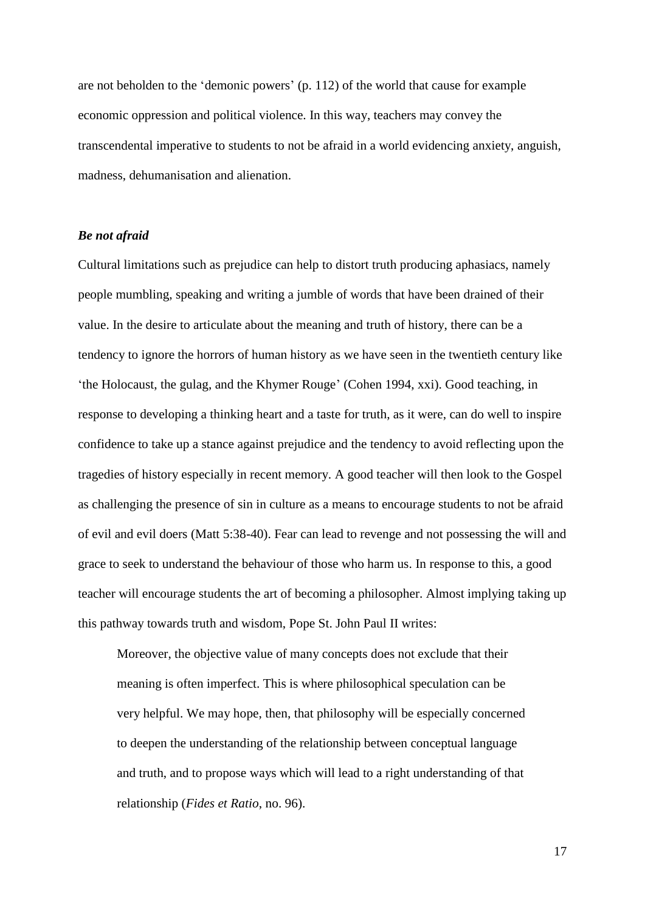are not beholden to the 'demonic powers' (p. 112) of the world that cause for example economic oppression and political violence. In this way, teachers may convey the transcendental imperative to students to not be afraid in a world evidencing anxiety, anguish, madness, dehumanisation and alienation.

## *Be not afraid*

Cultural limitations such as prejudice can help to distort truth producing aphasiacs, namely people mumbling, speaking and writing a jumble of words that have been drained of their value. In the desire to articulate about the meaning and truth of history, there can be a tendency to ignore the horrors of human history as we have seen in the twentieth century like 'the Holocaust, the gulag, and the Khymer Rouge' (Cohen 1994, xxi). Good teaching, in response to developing a thinking heart and a taste for truth, as it were, can do well to inspire confidence to take up a stance against prejudice and the tendency to avoid reflecting upon the tragedies of history especially in recent memory. A good teacher will then look to the Gospel as challenging the presence of sin in culture as a means to encourage students to not be afraid of evil and evil doers (Matt 5:38-40). Fear can lead to revenge and not possessing the will and grace to seek to understand the behaviour of those who harm us. In response to this, a good teacher will encourage students the art of becoming a philosopher. Almost implying taking up this pathway towards truth and wisdom, Pope St. John Paul II writes:

Moreover, the objective value of many concepts does not exclude that their meaning is often imperfect. This is where philosophical speculation can be very helpful. We may hope, then, that philosophy will be especially concerned to deepen the understanding of the relationship between conceptual language and truth, and to propose ways which will lead to a right understanding of that relationship (*Fides et Ratio*, no. 96).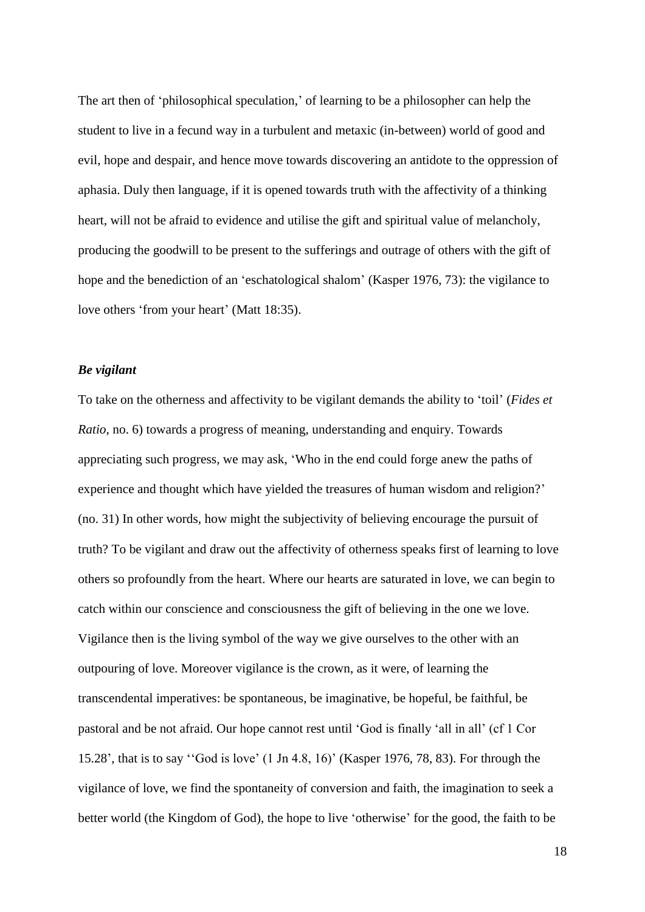The art then of 'philosophical speculation,' of learning to be a philosopher can help the student to live in a fecund way in a turbulent and metaxic (in-between) world of good and evil, hope and despair, and hence move towards discovering an antidote to the oppression of aphasia. Duly then language, if it is opened towards truth with the affectivity of a thinking heart, will not be afraid to evidence and utilise the gift and spiritual value of melancholy, producing the goodwill to be present to the sufferings and outrage of others with the gift of hope and the benediction of an 'eschatological shalom' (Kasper 1976, 73): the vigilance to love others 'from your heart' (Matt 18:35).

## *Be vigilant*

To take on the otherness and affectivity to be vigilant demands the ability to 'toil' (*Fides et Ratio*, no. 6) towards a progress of meaning, understanding and enquiry. Towards appreciating such progress, we may ask, 'Who in the end could forge anew the paths of experience and thought which have yielded the treasures of human wisdom and religion?' (no. 31) In other words, how might the subjectivity of believing encourage the pursuit of truth? To be vigilant and draw out the affectivity of otherness speaks first of learning to love others so profoundly from the heart. Where our hearts are saturated in love, we can begin to catch within our conscience and consciousness the gift of believing in the one we love. Vigilance then is the living symbol of the way we give ourselves to the other with an outpouring of love. Moreover vigilance is the crown, as it were, of learning the transcendental imperatives: be spontaneous, be imaginative, be hopeful, be faithful, be pastoral and be not afraid. Our hope cannot rest until 'God is finally 'all in all' (cf 1 Cor 15.28', that is to say ''God is love' (1 Jn 4.8, 16)' (Kasper 1976, 78, 83). For through the vigilance of love, we find the spontaneity of conversion and faith, the imagination to seek a better world (the Kingdom of God), the hope to live 'otherwise' for the good, the faith to be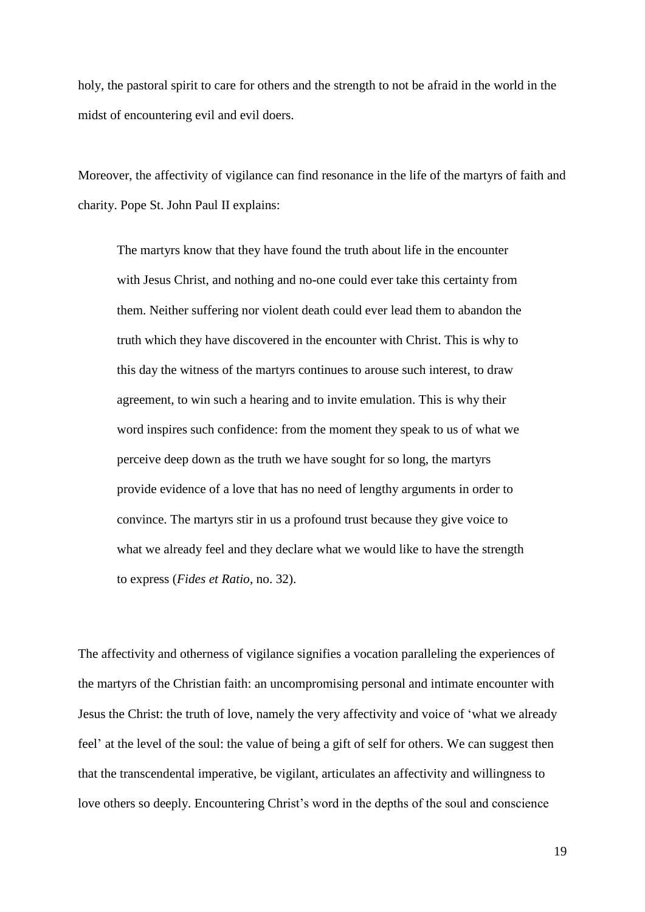holy, the pastoral spirit to care for others and the strength to not be afraid in the world in the midst of encountering evil and evil doers.

Moreover, the affectivity of vigilance can find resonance in the life of the martyrs of faith and charity. Pope St. John Paul II explains:

The martyrs know that they have found the truth about life in the encounter with Jesus Christ, and nothing and no-one could ever take this certainty from them. Neither suffering nor violent death could ever lead them to abandon the truth which they have discovered in the encounter with Christ. This is why to this day the witness of the martyrs continues to arouse such interest, to draw agreement, to win such a hearing and to invite emulation. This is why their word inspires such confidence: from the moment they speak to us of what we perceive deep down as the truth we have sought for so long, the martyrs provide evidence of a love that has no need of lengthy arguments in order to convince. The martyrs stir in us a profound trust because they give voice to what we already feel and they declare what we would like to have the strength to express (*Fides et Ratio*, no. 32).

The affectivity and otherness of vigilance signifies a vocation paralleling the experiences of the martyrs of the Christian faith: an uncompromising personal and intimate encounter with Jesus the Christ: the truth of love, namely the very affectivity and voice of 'what we already feel' at the level of the soul: the value of being a gift of self for others. We can suggest then that the transcendental imperative, be vigilant, articulates an affectivity and willingness to love others so deeply. Encountering Christ's word in the depths of the soul and conscience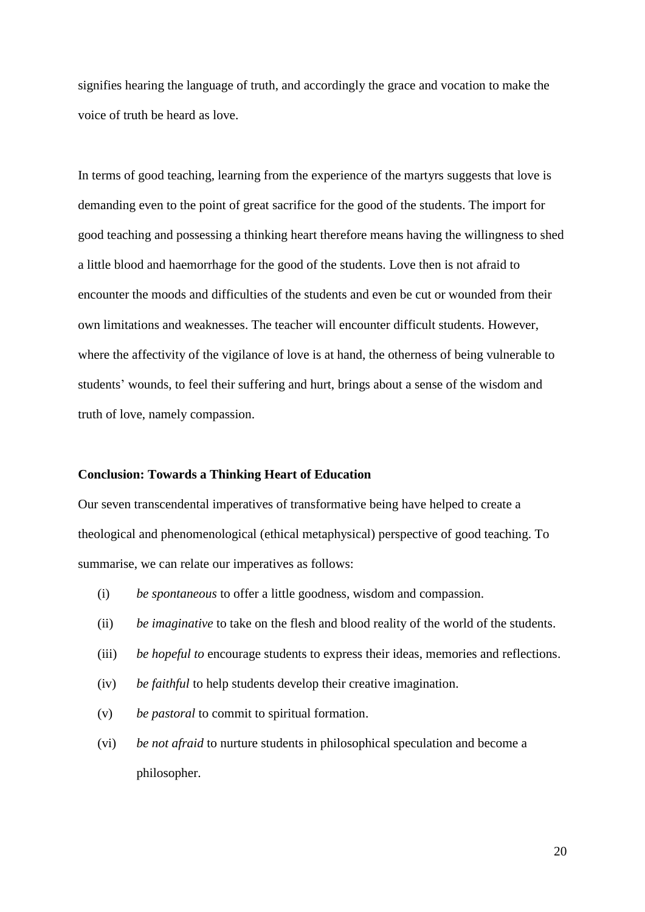signifies hearing the language of truth, and accordingly the grace and vocation to make the voice of truth be heard as love.

In terms of good teaching, learning from the experience of the martyrs suggests that love is demanding even to the point of great sacrifice for the good of the students. The import for good teaching and possessing a thinking heart therefore means having the willingness to shed a little blood and haemorrhage for the good of the students. Love then is not afraid to encounter the moods and difficulties of the students and even be cut or wounded from their own limitations and weaknesses. The teacher will encounter difficult students. However, where the affectivity of the vigilance of love is at hand, the otherness of being vulnerable to students' wounds, to feel their suffering and hurt, brings about a sense of the wisdom and truth of love, namely compassion.

#### **Conclusion: Towards a Thinking Heart of Education**

Our seven transcendental imperatives of transformative being have helped to create a theological and phenomenological (ethical metaphysical) perspective of good teaching. To summarise, we can relate our imperatives as follows:

- (i) *be spontaneous* to offer a little goodness, wisdom and compassion.
- (ii) *be imaginative* to take on the flesh and blood reality of the world of the students.
- (iii) *be hopeful to* encourage students to express their ideas, memories and reflections.
- (iv) *be faithful* to help students develop their creative imagination.
- (v) *be pastoral* to commit to spiritual formation.
- (vi) *be not afraid* to nurture students in philosophical speculation and become a philosopher.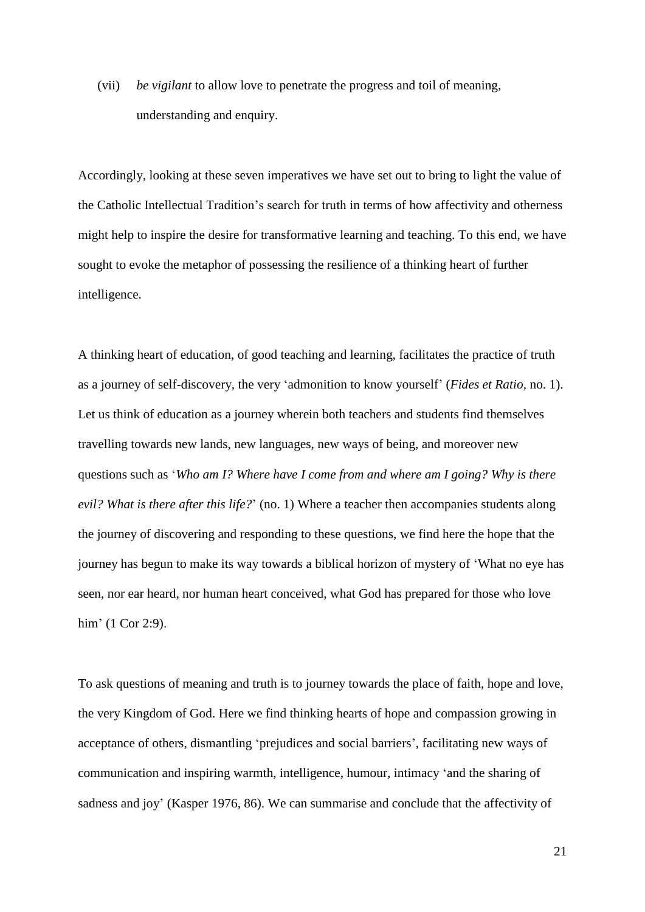(vii) *be vigilant* to allow love to penetrate the progress and toil of meaning, understanding and enquiry.

Accordingly, looking at these seven imperatives we have set out to bring to light the value of the Catholic Intellectual Tradition's search for truth in terms of how affectivity and otherness might help to inspire the desire for transformative learning and teaching. To this end, we have sought to evoke the metaphor of possessing the resilience of a thinking heart of further intelligence.

A thinking heart of education, of good teaching and learning, facilitates the practice of truth as a journey of self-discovery, the very 'admonition to know yourself' (*Fides et Ratio*, no. 1). Let us think of education as a journey wherein both teachers and students find themselves travelling towards new lands, new languages, new ways of being, and moreover new questions such as '*Who am I? Where have I come from and where am I going? Why is there evil? What is there after this life?*' (no. 1) Where a teacher then accompanies students along the journey of discovering and responding to these questions, we find here the hope that the journey has begun to make its way towards a biblical horizon of mystery of 'What no eye has seen, nor ear heard, nor human heart conceived, what God has prepared for those who love him' (1 Cor 2:9).

To ask questions of meaning and truth is to journey towards the place of faith, hope and love, the very Kingdom of God. Here we find thinking hearts of hope and compassion growing in acceptance of others, dismantling 'prejudices and social barriers', facilitating new ways of communication and inspiring warmth, intelligence, humour, intimacy 'and the sharing of sadness and joy' (Kasper 1976, 86). We can summarise and conclude that the affectivity of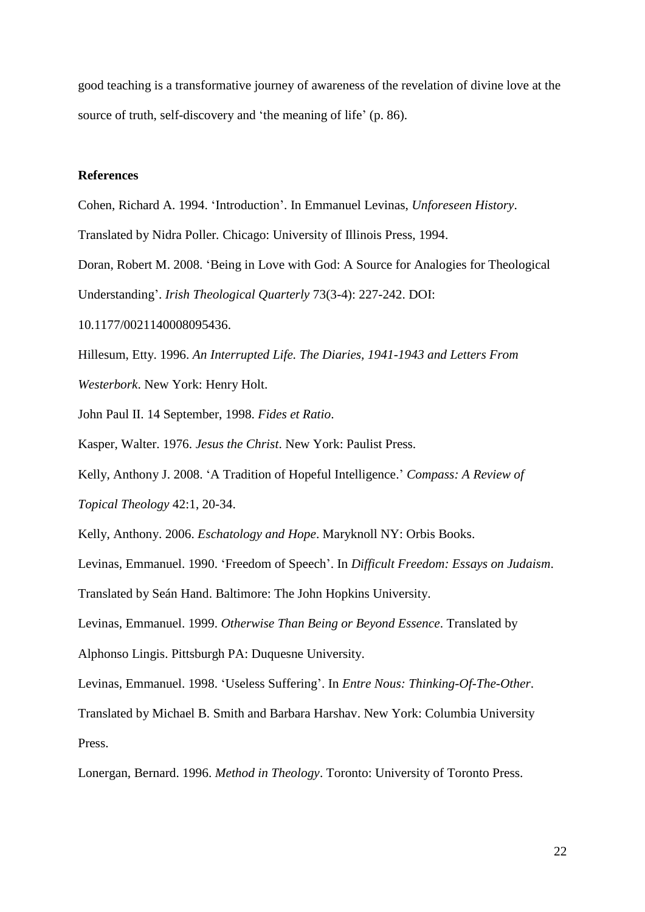good teaching is a transformative journey of awareness of the revelation of divine love at the source of truth, self-discovery and 'the meaning of life' (p. 86).

## **References**

Cohen, Richard A. 1994. 'Introduction'. In Emmanuel Levinas, *Unforeseen History*.

Translated by Nidra Poller*.* Chicago: University of Illinois Press, 1994.

Doran, Robert M. 2008. 'Being in Love with God: A Source for Analogies for Theological

Understanding'. *Irish Theological Quarterly* 73(3-4): 227-242. DOI:

10.1177/0021140008095436.

Hillesum, Etty. 1996. *An Interrupted Life. The Diaries, 1941-1943 and Letters From* 

*Westerbork*. New York: Henry Holt.

John Paul II. 14 September, 1998. *Fides et Ratio*.

Kasper, Walter. 1976. *Jesus the Christ*. New York: Paulist Press.

Kelly, Anthony J. 2008. 'A Tradition of Hopeful Intelligence.' *Compass: A Review of* 

*Topical Theology* 42:1, 20-34.

Kelly, Anthony. 2006. *Eschatology and Hope*. Maryknoll NY: Orbis Books.

Levinas, Emmanuel. 1990. 'Freedom of Speech'. In *Difficult Freedom: Essays on Judaism*.

Translated by Seán Hand. Baltimore: The John Hopkins University.

Levinas, Emmanuel. 1999. *Otherwise Than Being or Beyond Essence*. Translated by

Alphonso Lingis. Pittsburgh PA: Duquesne University.

Levinas, Emmanuel. 1998. 'Useless Suffering'. In *Entre Nous: Thinking-Of-The-Other*.

Translated by Michael B. Smith and Barbara Harshav. New York: Columbia University Press.

Lonergan, Bernard. 1996. *Method in Theology*. Toronto: University of Toronto Press.